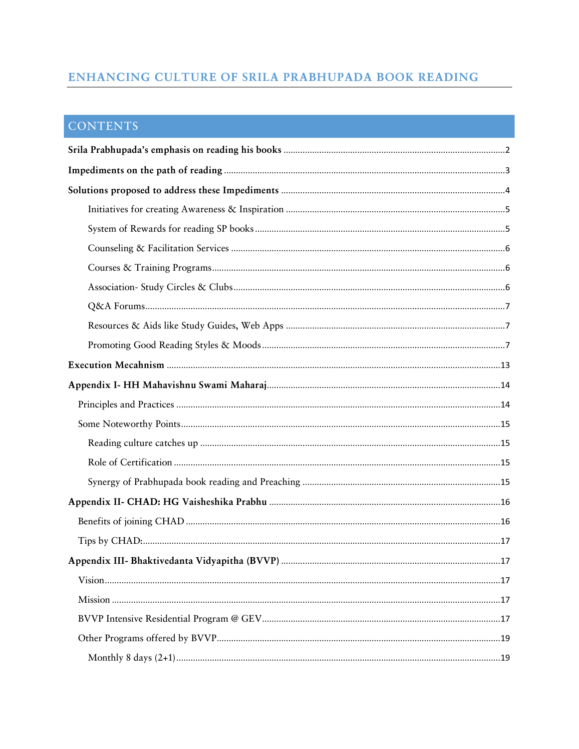# ENHANCING CULTURE OF SRILA PRABHUPADA BOOK READING

# **CONTENTS**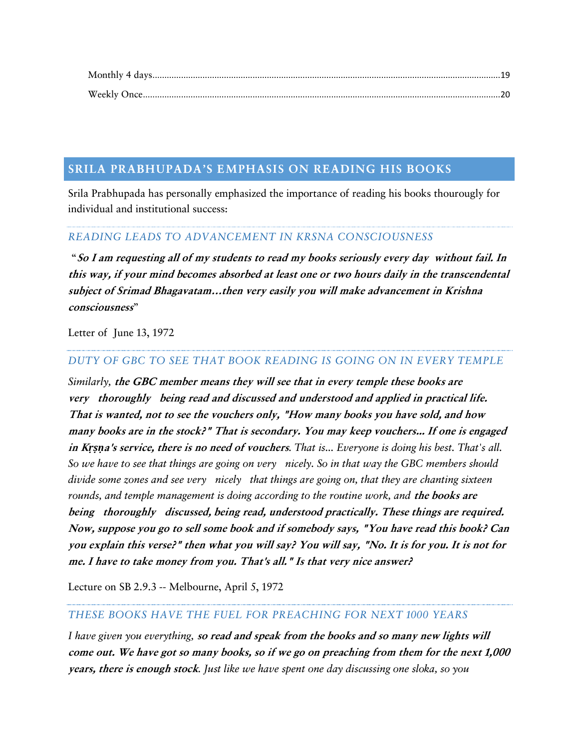# <span id="page-1-0"></span>**SRILA PRABHUPADA'S EMPHASIS ON READING HIS BOOKS**

Srila Prabhupada has personally emphasized the importance of reading his books thourougly for individual and institutional success:

# *READING LEADS TO ADVANCEMENT IN KRSNA CONSCIOUSNESS*

"**So I am requesting all of my students to read my books seriously every day without fail. In this way, if your mind becomes absorbed at least one or two hours daily in the transcendental subject of Srimad Bhagavatam…then very easily you will make advancement in Krishna consciousness**"

Letter of June 13, 1972

# *DUTY OF GBC TO SEE THAT BOOK READING IS GOING ON IN EVERY TEMPLE*

*Similarly,* **the GBC member means they will see that in every temple these books are very thoroughly being read and discussed and understood and applied in practical life. That is wanted, not to see the vouchers only, "How many books you have sold, and how many books are in the stock?" That is secondary. You may keep vouchers... If one is engaged in K***ṛṣṇ***a's service, there is no need of vouchers***. That is... Everyone is doing his best. That's all. So we have to see that things are going on very nicely. So in that way the GBC members should divide some zones and see very nicely that things are going on, that they are chanting sixteen rounds, and temple management is doing according to the routine work, and* **the books are being thoroughly discussed, being read, understood practically. These things are required. Now, suppose you go to sell some book and if somebody says, "You have read this book? Can you explain this verse?" then what you will say? You will say, "No. It is for you. It is not for me. I have to take money from you. That's all." Is that very nice answer?**

Lecture on SB 2.9.3 -- [Melbourne, April 5, 1972](http://vanisource.org/wiki/Lecture_on_SB_2.9.3_--_Melbourne,_April_5,_1972)

# *THESE BOOKS HAVE THE FUEL FOR PREACHING FOR NEXT 1000 YEARS*

*I have given you everything,* **so read and speak from the books and so many new lights will come out. We have got so many books, so if we go on preaching from them for the next 1,000 years, there is enough stock***. Just like we have spent one day discussing one sloka, so you*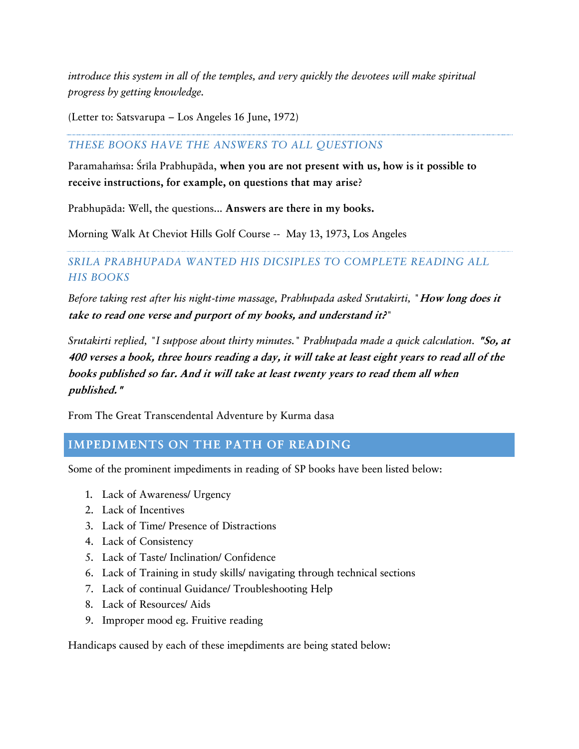*introduce this system in all of the temples, and very quickly the devotees will make spiritual progress by getting knowledge.*

(Letter to: Satsvarupa – Los Angeles 16 June, 1972)

# *THESE BOOKS HAVE THE ANSWERS TO ALL QUESTIONS*

Paramahamsa: Śrīla Prabhupāda, when you are not present with us, how is it possible to **receive instructions, for example, on questions that may arise**?

Prabhupäda: Well, the questions... **Answers are there in my books.**

Morning Walk At Cheviot Hills Golf Course -- May 13, 1973, Los Angeles

# *SRILA PRABHUPADA WANTED HIS DICSIPLES TO COMPLETE READING ALL HIS BOOKS*

*Before taking rest after his night-time massage, Prabhupada asked Srutakirti, "***How long does it take to read one verse and purport of my books, and understand it?***"*

*Srutakirti replied, "I suppose about thirty minutes." Prabhupada made a quick calculation.* **"So, at 400 verses a book, three hours reading a day, it will take at least eight years to read all of the books published so far. And it will take at least twenty years to read them all when published."**

From The Great Transcendental Adventure by Kurma dasa

# <span id="page-2-0"></span>**IMPEDIMENTS ON THE PATH OF READING**

Some of the prominent impediments in reading of SP books have been listed below:

- 1. Lack of Awareness/ Urgency
- 2. Lack of Incentives
- 3. Lack of Time/ Presence of Distractions
- 4. Lack of Consistency
- 5. Lack of Taste/ Inclination/ Confidence
- 6. Lack of Training in study skills/ navigating through technical sections
- 7. Lack of continual Guidance/ Troubleshooting Help
- 8. Lack of Resources/ Aids
- 9. Improper mood eg. Fruitive reading

Handicaps caused by each of these imepdiments are being stated below: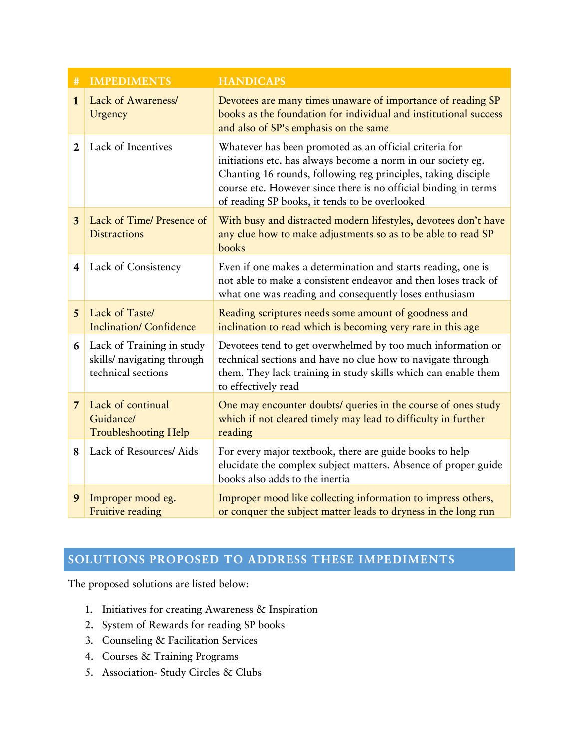| #                       | <b>IMPEDIMENTS</b>                                                            | <b>HANDICAPS</b>                                                                                                                                                                                                                                                                                             |
|-------------------------|-------------------------------------------------------------------------------|--------------------------------------------------------------------------------------------------------------------------------------------------------------------------------------------------------------------------------------------------------------------------------------------------------------|
| $\mathbf{1}$            | Lack of Awareness/<br>Urgency                                                 | Devotees are many times unaware of importance of reading SP<br>books as the foundation for individual and institutional success<br>and also of SP's emphasis on the same                                                                                                                                     |
| $\overline{2}$          | Lack of Incentives                                                            | Whatever has been promoted as an official criteria for<br>initiations etc. has always become a norm in our society eg.<br>Chanting 16 rounds, following reg principles, taking disciple<br>course etc. However since there is no official binding in terms<br>of reading SP books, it tends to be overlooked |
| 3                       | Lack of Time/ Presence of<br><b>Distractions</b>                              | With busy and distracted modern lifestyles, devotees don't have<br>any clue how to make adjustments so as to be able to read SP<br>books                                                                                                                                                                     |
| $\overline{\mathbf{4}}$ | Lack of Consistency                                                           | Even if one makes a determination and starts reading, one is<br>not able to make a consistent endeavor and then loses track of<br>what one was reading and consequently loses enthusiasm                                                                                                                     |
| 5                       | Lack of Taste/<br><b>Inclination/Confidence</b>                               | Reading scriptures needs some amount of goodness and<br>inclination to read which is becoming very rare in this age                                                                                                                                                                                          |
| 6                       | Lack of Training in study<br>skills/ navigating through<br>technical sections | Devotees tend to get overwhelmed by too much information or<br>technical sections and have no clue how to navigate through<br>them. They lack training in study skills which can enable them<br>to effectively read                                                                                          |
| $\overline{7}$          | Lack of continual<br>Guidance/<br><b>Troubleshooting Help</b>                 | One may encounter doubts/ queries in the course of ones study<br>which if not cleared timely may lead to difficulty in further<br>reading                                                                                                                                                                    |
| 8                       | Lack of Resources/ Aids                                                       | For every major textbook, there are guide books to help<br>elucidate the complex subject matters. Absence of proper guide<br>books also adds to the inertia                                                                                                                                                  |
| 9                       | Improper mood eg.<br>Fruitive reading                                         | Improper mood like collecting information to impress others,<br>or conquer the subject matter leads to dryness in the long run                                                                                                                                                                               |

# <span id="page-3-0"></span>**SOLUTIONS PROPOSED TO ADDRESS THESE IMPEDIMENTS**

The proposed solutions are listed below:

- 1. Initiatives for creating Awareness & Inspiration
- 2. System of Rewards for reading SP books
- 3. Counseling & Facilitation Services
- 4. Courses & Training Programs
- 5. Association- Study Circles & Clubs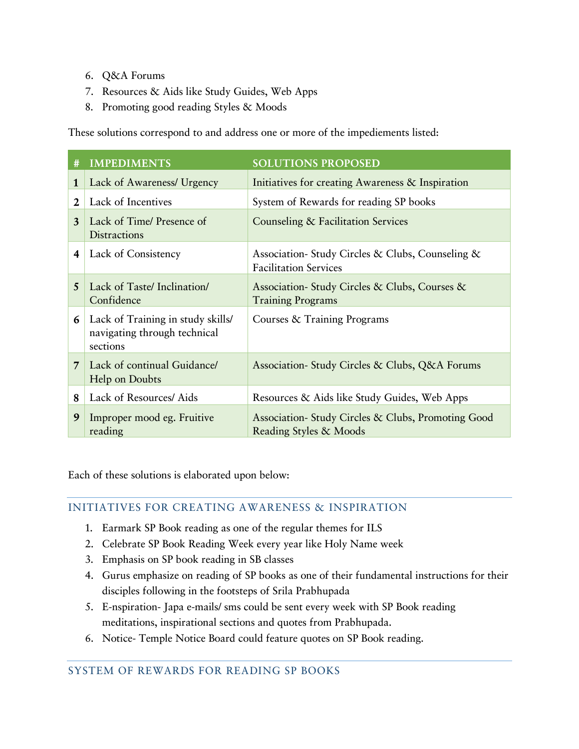- 6. Q&A Forums
- 7. Resources & Aids like Study Guides, Web Apps
- 8. Promoting good reading Styles & Moods

These solutions correspond to and address one or more of the impediements listed:

| #           | <b>IMPEDIMENTS</b>                                                            | <b>SOLUTIONS PROPOSED</b>                                                        |
|-------------|-------------------------------------------------------------------------------|----------------------------------------------------------------------------------|
| 1           | Lack of Awareness/ Urgency                                                    | Initiatives for creating Awareness & Inspiration                                 |
| $\mathbf 2$ | Lack of Incentives                                                            | System of Rewards for reading SP books                                           |
| 3           | Lack of Time/ Presence of<br><b>Distractions</b>                              | Counseling & Facilitation Services                                               |
| 4           | Lack of Consistency                                                           | Association- Study Circles & Clubs, Counseling &<br><b>Facilitation Services</b> |
| 5           | Lack of Taste/ Inclination/<br>Confidence                                     | Association-Study Circles & Clubs, Courses &<br><b>Training Programs</b>         |
| 6           | Lack of Training in study skills/<br>navigating through technical<br>sections | Courses & Training Programs                                                      |
| 7           | Lack of continual Guidance/<br>Help on Doubts                                 | Association-Study Circles & Clubs, Q&A Forums                                    |
| 8           | Lack of Resources/ Aids                                                       | Resources & Aids like Study Guides, Web Apps                                     |
| 9           | Improper mood eg. Fruitive<br>reading                                         | Association-Study Circles & Clubs, Promoting Good<br>Reading Styles & Moods      |

Each of these solutions is elaborated upon below:

# <span id="page-4-0"></span>INITIATIVES FOR CREATING AWARENESS & INSPIRATION

- 1. Earmark SP Book reading as one of the regular themes for ILS
- 2. Celebrate SP Book Reading Week every year like Holy Name week
- 3. Emphasis on SP book reading in SB classes
- 4. Gurus emphasize on reading of SP books as one of their fundamental instructions for their disciples following in the footsteps of Srila Prabhupada
- 5. E-nspiration- Japa e-mails/ sms could be sent every week with SP Book reading meditations, inspirational sections and quotes from Prabhupada.
- 6. Notice- Temple Notice Board could feature quotes on SP Book reading.

# <span id="page-4-1"></span>SYSTEM OF REWARDS FOR READING SP BOOKS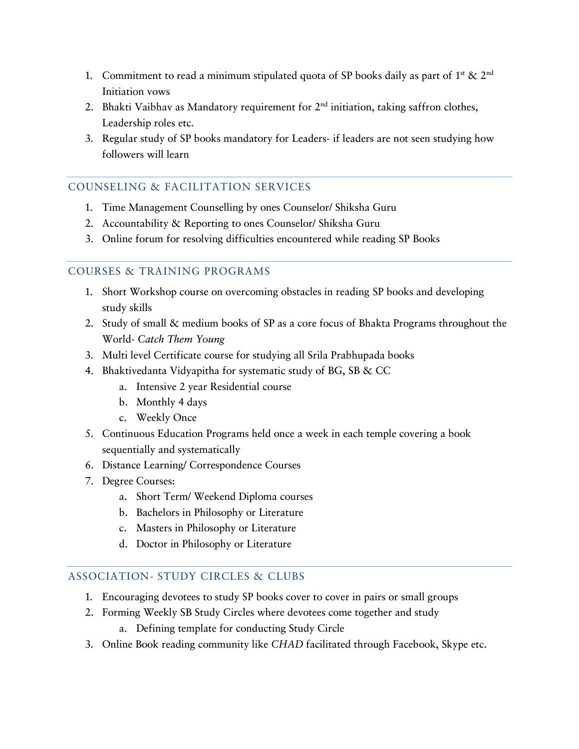- 1. Commitment to read a minimum stipulated quota of SP books daily as part of 1<sup>st</sup> & 2<sup>nd</sup> Initiation vows
- 2. Bhakti Vaibhav as Mandatory requirement for  $2<sup>nd</sup>$  initiation, taking saffron clothes, Leadership roles etc.
- 3. Regular study of SP books mandatory for Leaders- if leaders are not seen studying how followers will learn

# <span id="page-5-0"></span>COUNSELING & FACILITATION SERVICES

- 1. Time Management Counselling by ones Counselor/ Shiksha Guru
- 2. Accountability & Reporting to ones Counselor/ Shiksha Guru
- 3. Online forum for resolving difficulties encountered while reading SP Books

# <span id="page-5-1"></span>COURSES & TRAINING PROGRAMS

- 1. Short Workshop course on overcoming obstacles in reading SP books and developing study skills
- 2. Study of small & medium books of SP as a core focus of Bhakta Programs throughout the World- *Catch Them Young*
- 3. Multi level Certificate course for studying all Srila Prabhupada books
- 4. Bhaktivedanta Vidyapitha for systematic study of BG, SB & CC
	- a. Intensive 2 year Residential course
	- b. Monthly 4 days
	- c. Weekly Once
- 5. Continuous Education Programs held once a week in each temple covering a book sequentially and systematically
- 6. Distance Learning/ Correspondence Courses
- 7. Degree Courses:
	- a. Short Term/ Weekend Diploma courses
	- b. Bachelors in Philosophy or Literature
	- c. Masters in Philosophy or Literature
	- d. Doctor in Philosophy or Literature

# <span id="page-5-2"></span>ASSOCIATION- STUDY CIRCLES & CLUBS

- 1. Encouraging devotees to study SP books cover to cover in pairs or small groups
- 2. Forming Weekly SB Study Circles where devotees come together and study
	- a. Defining template for conducting Study Circle
- 3. Online Book reading community like *CHAD* facilitated through Facebook, Skype etc.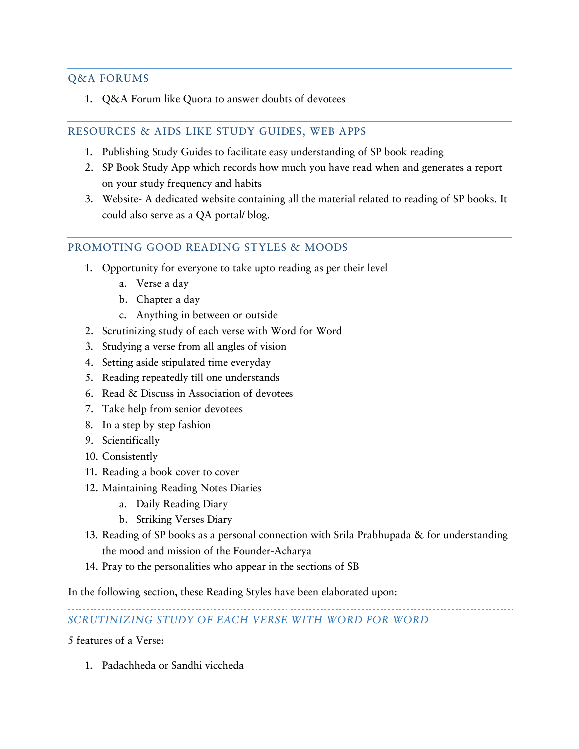# <span id="page-6-0"></span>Q&A FORUMS

1. Q&A Forum like Quora to answer doubts of devotees

### <span id="page-6-1"></span>RESOURCES & AIDS LIKE STUDY GUIDES, WEB APPS

- 1. Publishing Study Guides to facilitate easy understanding of SP book reading
- 2. SP Book Study App which records how much you have read when and generates a report on your study frequency and habits
- 3. Website- A dedicated website containing all the material related to reading of SP books. It could also serve as a QA portal/ blog.

### <span id="page-6-2"></span>PROMOTING GOOD READING STYLES & MOODS

- 1. Opportunity for everyone to take upto reading as per their level
	- a. Verse a day
	- b. Chapter a day
	- c. Anything in between or outside
- 2. Scrutinizing study of each verse with Word for Word
- 3. Studying a verse from all angles of vision
- 4. Setting aside stipulated time everyday
- 5. Reading repeatedly till one understands
- 6. Read & Discuss in Association of devotees
- 7. Take help from senior devotees
- 8. In a step by step fashion
- 9. Scientifically
- 10. Consistently
- 11. Reading a book cover to cover
- 12. Maintaining Reading Notes Diaries
	- a. Daily Reading Diary
	- b. Striking Verses Diary
- 13. Reading of SP books as a personal connection with Srila Prabhupada & for understanding the mood and mission of the Founder-Acharya
- 14. Pray to the personalities who appear in the sections of SB

In the following section, these Reading Styles have been elaborated upon:

#### *SCRUTINIZING STUDY OF EACH VERSE WITH WORD FOR WORD*

5 features of a Verse:

1. Padachheda or Sandhi viccheda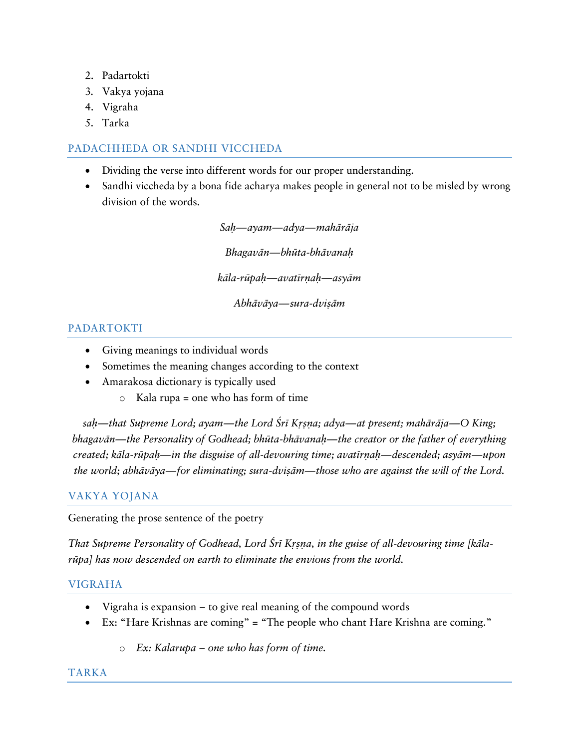- 2. Padartokti
- 3. Vakya yojana
- 4. Vigraha
- 5. Tarka

# PADACHHEDA OR SANDHI VICCHEDA

- Dividing the verse into different words for our proper understanding.
- Sandhi viccheda by a bona fide acharya makes people in general not to be misled by wrong division of the words.

*Saù—ayam—adya—mahäräja Bhagavän—bhüta-bhävanaù käla-rüpaù—avatérëaù—asyäm Abhäväya—sura-dviñäm*

# PADARTOKTI

- Giving meanings to individual words
- Sometimes the meaning changes according to the context
- Amarakosa dictionary is typically used
	- o Kala rupa = one who has form of time

*sah—that Supreme Lord; ayam—the Lord Śrī Krsna; adya—at present; mahārāja—O King; bhagavän—the Personality of Godhead; bhüta-bhävanaù—the creator or the father of everything created; käla-rüpaù—in the disguise of all-devouring time; avatérëaù—descended; asyäm—upon the world; abhāvāya—for eliminating; sura-dvisām—those who are against the will of the Lord.* 

# VAKYA YOJANA

Generating the prose sentence of the poetry

That Supreme Personality of Godhead, Lord Śrī Krsna, in the guise of all-devouring time [kāla*rüpa] has now descended on earth to eliminate the envious from the world.*

# VIGRAHA

- Vigraha is expansion to give real meaning of the compound words
- Ex: "Hare Krishnas are coming" = "The people who chant Hare Krishna are coming."
	- o *Ex: Kalarupa – one who has form of time.*

# TARKA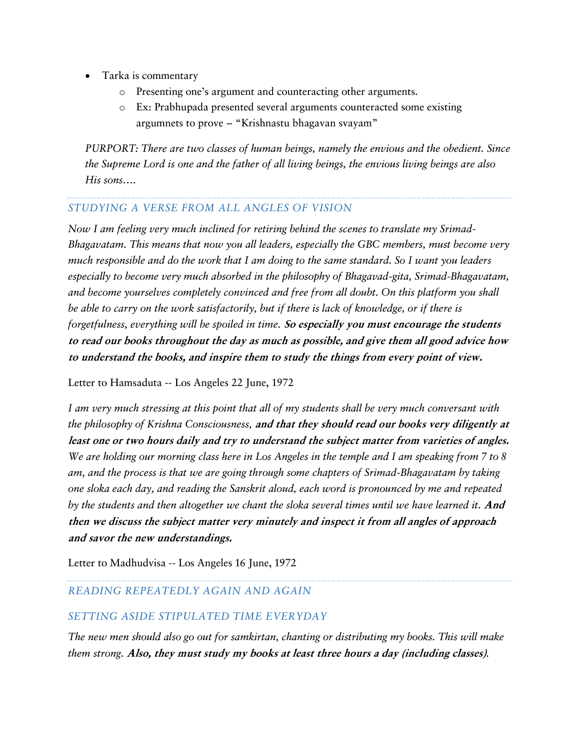- Tarka is commentary
	- o Presenting one's argument and counteracting other arguments.
	- o Ex: Prabhupada presented several arguments counteracted some existing argumnets to prove – "Krishnastu bhagavan svayam"

*PURPORT: There are two classes of human beings, namely the envious and the obedient. Since the Supreme Lord is one and the father of all living beings, the envious living beings are also His sons….*

### *STUDYING A VERSE FROM ALL ANGLES OF VISION*

*Now I am feeling very much inclined for retiring behind the scenes to translate my Srimad-Bhagavatam. This means that now you all leaders, especially the GBC members, must become very much responsible and do the work that I am doing to the same standard. So I want you leaders especially to become very much absorbed in the philosophy of Bhagavad-gita, Srimad-Bhagavatam, and become yourselves completely convinced and free from all doubt. On this platform you shall be able to carry on the work satisfactorily, but if there is lack of knowledge, or if there is forgetfulness, everything will be spoiled in time.* **So especially you must encourage the students to read our books throughout the day as much as possible, and give them all good advice how to understand the books, and inspire them to study the things from every point of view.**

Letter to Hamsaduta -- Los Angeles 22 June, 1972

*I am very much stressing at this point that all of my students shall be very much conversant with the philosophy of Krishna Consciousness,* **and that they should read our books very diligently at least one or two hours daily and try to understand the subject matter from varieties of angles.** *We are holding our morning class here in Los Angeles in the temple and I am speaking from 7 to 8 am, and the process is that we are going through some chapters of Srimad-Bhagavatam by taking one sloka each day, and reading the Sanskrit aloud, each word is pronounced by me and repeated by the students and then altogether we chant the sloka several times until we have learned it.* **And then we discuss the subject matter very minutely and inspect it from all angles of approach and savor the new understandings.**

Letter to Madhudvisa -- Los Angeles 16 June, 1972

# *READING REPEATEDLY AGAIN AND AGAIN*

#### *SETTING ASIDE STIPULATED TIME EVERYDAY*

*The new men should also go out for samkirtan, chanting or distributing my books. This will make them strong.* **Also, they must study my books at least three hours a day (including classes)***.*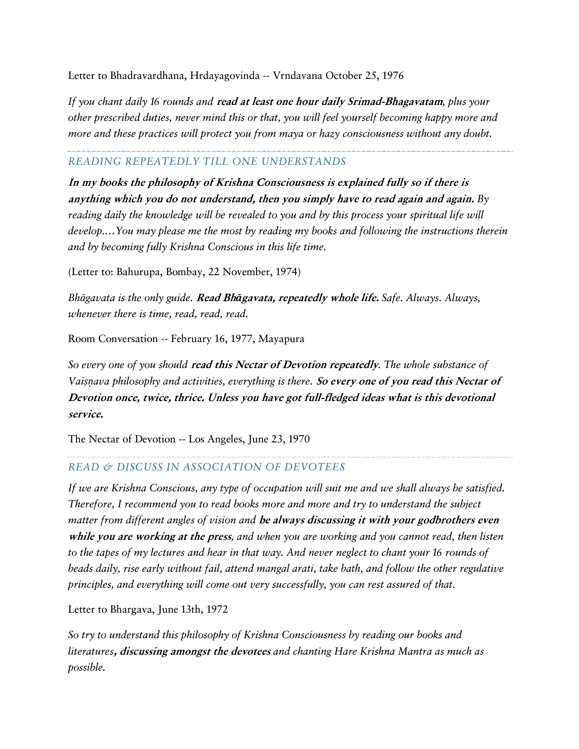Letter to Bhadravardhana, Hrdayagovinda -- Vrndavana October 25, 1976

*If you chant daily 16 rounds and* **read at least one hour daily Srimad-Bhagavatam***, plus your other prescribed duties, never mind this or that, you will feel yourself becoming happy more and more and these practices will protect you from maya or hazy consciousness without any doubt.*

### *READING REPEATEDLY TILL ONE UNDERSTANDS*

**In my books the philosophy of Krishna Consciousness is explained fully so if there is anything which you do not understand, then you simply have to read again and again.** *By reading daily the knowledge will be revealed to you and by this process your spiritual life will develop.…You may please me the most by reading my books and following the instructions therein and by becoming fully Krishna Conscious in this life time.*

(Letter to: Bahurupa, Bombay, 22 November, 1974)

*Bhāgavata is the only guide.* **Read Bh***ā***gavata, repeatedly whole life.** *Safe. Always. Always, whenever there is time, read, read, read.*

Room Conversation -- February 16, 1977, Mayapura

*So every one of you should* **read this Nectar of Devotion repeatedly***. The whole substance of Vaiṣṇava philosophy and activities, everything is there.* **So every one of you read this Nectar of Devotion once, twice, thrice. Unless you have got full-fledged ideas what is this devotional service.**

The Nectar of Devotion -- Los Angeles, June 23, 1970

# *READ & DISCUSS IN ASSOCIATION OF DEVOTEES*

*If we are Krishna Conscious, any type of occupation will suit me and we shall always be satisfied. Therefore, I recommend you to read books more and more and try to understand the subject matter from different angles of vision and* **be always discussing it with your godbrothers even while you are working at the press***, and when you are working and you cannot read, then listen to the tapes of my lectures and hear in that way. And never neglect to chant your 16 rounds of beads daily, rise early without fail, attend mangal arati, take bath, and follow the other regulative principles, and everything will come out very successfully, you can rest assured of that.*

Letter to Bhargava, June 13th, 1972

*So try to understand this philosophy of Krishna Consciousness by reading our books and literatures***, discussing amongst the devotees** *and chanting Hare Krishna Mantra as much as possible.*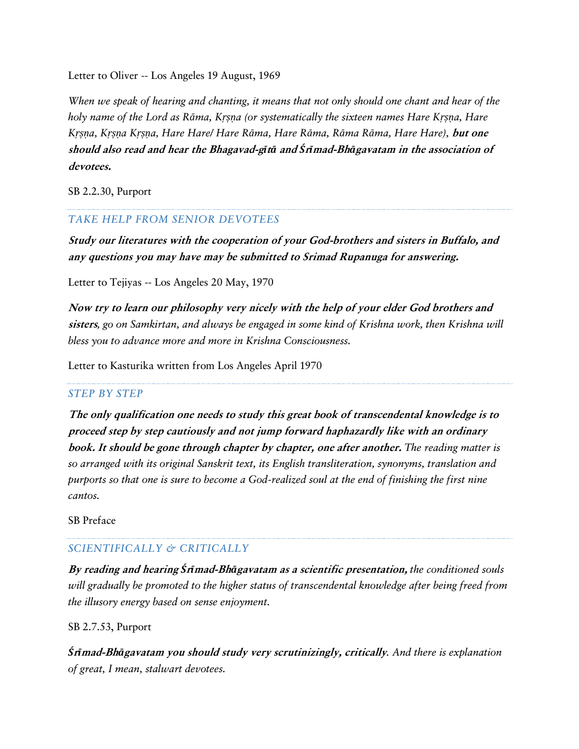Letter to Oliver -- Los Angeles 19 August, 1969

*When we speak of hearing and chanting, it means that not only should one chant and hear of the holy name of the Lord as Rāma, Kṛṣṇa (or systematically the sixteen names Hare Kṛṣṇa, Hare Kṛṣṇa, Kṛṣṇa Kṛṣṇa, Hare Hare/ Hare Rāma, Hare Rāma, Rāma Rāma, Hare Hare),* **but one should also read and hear the Bhagavad-g***ī***t***ā* **and** *Ś***r***ī***mad-Bh***ā***gavatam in the association of devotees.**

SB 2.2.30, Purport

### *TAKE HELP FROM SENIOR DEVOTEES*

**Study our literatures with the cooperation of your God-brothers and sisters in Buffalo, and any questions you may have may be submitted to Srimad Rupanuga for answering.**

Letter to Tejiyas -- Los Angeles 20 May, 1970

**Now try to learn our philosophy very nicely with the help of your elder God brothers and sisters***, go on Samkirtan, and always be engaged in some kind of Krishna work, then Krishna will bless you to advance more and more in Krishna Consciousness.*

Letter to Kasturika written from Los Angeles April 1970

#### *STEP BY STEP*

**The only qualification one needs to study this great book of transcendental knowledge is to proceed step by step cautiously and not jump forward haphazardly like with an ordinary book. It should be gone through chapter by chapter, one after another.** *The reading matter is so arranged with its original Sanskrit text, its English transliteration, synonyms, translation and purports so that one is sure to become a God-realized soul at the end of finishing the first nine cantos.*

SB Preface

#### *SCIENTIFICALLY & CRITICALLY*

**By reading and hearing** *Ś***r***ī***mad-Bh***ā***gavatam as a scientific presentation,** *the conditioned souls will gradually be promoted to the higher status of transcendental knowledge after being freed from the illusory energy based on sense enjoyment.*

#### SB 2.7.53, Purport

*Ś***r***ī***mad-Bh***ā***gavatam you should study very scrutinizingly, critically***. And there is explanation of great, I mean, stalwart devotees.*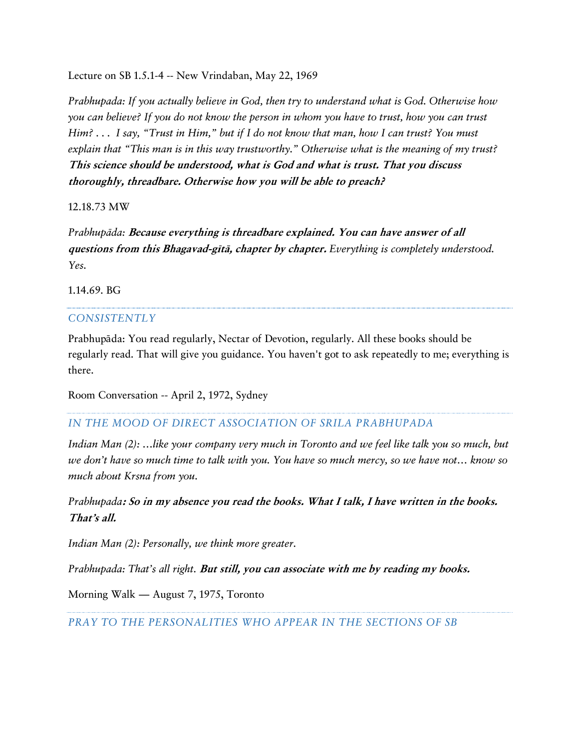Lecture on SB 1.5.1-4 -- New Vrindaban, May 22, 1969

*Prabhupada: If you actually believe in God, then try to understand what is God. Otherwise how you can believe? If you do not know the person in whom you have to trust, how you can trust Him? . . . I say, "Trust in Him," but if I do not know that man, how I can trust? You must explain that "This man is in this way trustworthy." Otherwise what is the meaning of my trust?*  **This science should be understood, what is God and what is trust. That you discuss thoroughly, threadbare. Otherwise how you will be able to preach?**

12.18.73 MW

*Prabhupäda:* **Because everything is threadbare explained. You can have answer of all questions from this Bhagavad-gétä, chapter by chapter.** *Everything is completely understood. Yes.*

1.14.69. BG

#### *CONSISTENTLY*

Prabhupāda: You read regularly, Nectar of Devotion, regularly. All these books should be regularly read. That will give you guidance. You haven't got to ask repeatedly to me; everything is there.

Room Conversation -- April 2, 1972, Sydney

### *IN THE MOOD OF DIRECT ASSOCIATION OF SRILA PRABHUPADA*

*Indian Man (2): …like your company very much in Toronto and we feel like talk you so much, but we don't have so much time to talk with you. You have so much mercy, so we have not… know so much about Krsna from you.*

*Prabhupada***: So in my absence you read the books. What I talk, I have written in the books. That's all.**

*Indian Man (2): Personally, we think more greater.*

*Prabhupada: That's all right.* **But still, you can associate with me by reading my books.**

Morning Walk — August 7, 1975, Toronto

*PRAY TO THE PERSONALITIES WHO APPEAR IN THE SECTIONS OF SB*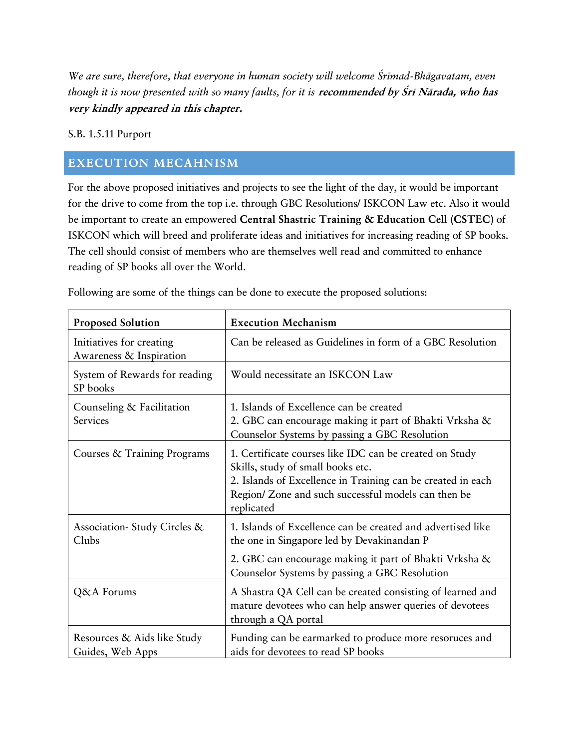*We are sure, therefore, that everyone in human society will welcome Çrémad-Bhägavatam, even*  though it is now presented with so many faults, for it is **recommended by Śrī Nārada, who has very kindly appeared in this chapter.**

### S.B. 1.5.11 Purport

# <span id="page-12-0"></span>**EXECUTION MECAHNISM**

For the above proposed initiatives and projects to see the light of the day, it would be important for the drive to come from the top i.e. through GBC Resolutions/ ISKCON Law etc. Also it would be important to create an empowered **Central Shastric Training & Education Cell (CSTEC)** of ISKCON which will breed and proliferate ideas and initiatives for increasing reading of SP books. The cell should consist of members who are themselves well read and committed to enhance reading of SP books all over the World.

| <b>Proposed Solution</b>                            | <b>Execution Mechanism</b>                                                                                                                                                                                                       |
|-----------------------------------------------------|----------------------------------------------------------------------------------------------------------------------------------------------------------------------------------------------------------------------------------|
| Initiatives for creating<br>Awareness & Inspiration | Can be released as Guidelines in form of a GBC Resolution                                                                                                                                                                        |
| System of Rewards for reading<br>SP books           | Would necessitate an ISKCON Law                                                                                                                                                                                                  |
| Counseling & Facilitation<br>Services               | 1. Islands of Excellence can be created<br>2. GBC can encourage making it part of Bhakti Vrksha &<br>Counselor Systems by passing a GBC Resolution                                                                               |
| Courses & Training Programs                         | 1. Certificate courses like IDC can be created on Study<br>Skills, study of small books etc.<br>2. Islands of Excellence in Training can be created in each<br>Region/ Zone and such successful models can then be<br>replicated |
| Association-Study Circles &<br>Clubs                | 1. Islands of Excellence can be created and advertised like<br>the one in Singapore led by Devakinandan P                                                                                                                        |
|                                                     | 2. GBC can encourage making it part of Bhakti Vrksha &<br>Counselor Systems by passing a GBC Resolution                                                                                                                          |
| Q&A Forums                                          | A Shastra QA Cell can be created consisting of learned and<br>mature devotees who can help answer queries of devotees<br>through a QA portal                                                                                     |
| Resources & Aids like Study<br>Guides, Web Apps     | Funding can be earmarked to produce more resoruces and<br>aids for devotees to read SP books                                                                                                                                     |

Following are some of the things can be done to execute the proposed solutions: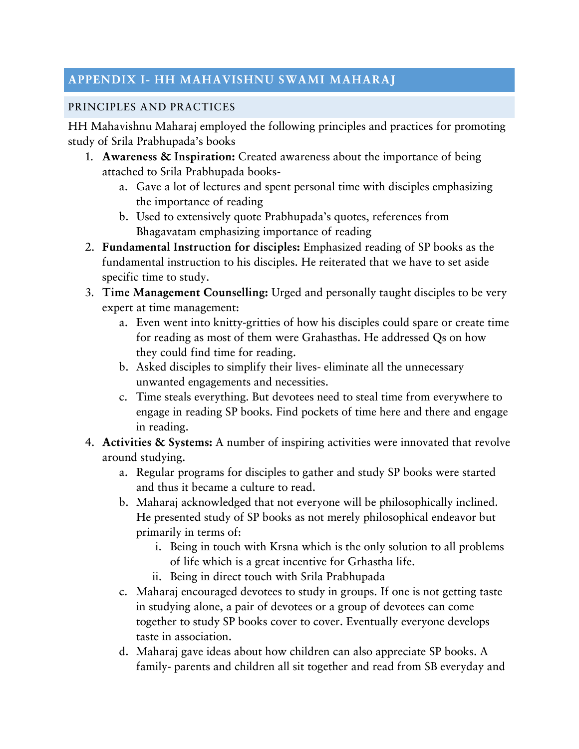# <span id="page-13-0"></span>**APPENDIX I- HH MAHAVISHNU SWAMI MAHARAJ**

# <span id="page-13-1"></span>PRINCIPLES AND PRACTICES

HH Mahavishnu Maharaj employed the following principles and practices for promoting study of Srila Prabhupada's books

- 1. **Awareness & Inspiration:** Created awareness about the importance of being attached to Srila Prabhupada books
	- a. Gave a lot of lectures and spent personal time with disciples emphasizing the importance of reading
	- b. Used to extensively quote Prabhupada's quotes, references from Bhagavatam emphasizing importance of reading
- 2. **Fundamental Instruction for disciples:** Emphasized reading of SP books as the fundamental instruction to his disciples. He reiterated that we have to set aside specific time to study.
- 3. **Time Management Counselling:** Urged and personally taught disciples to be very expert at time management:
	- a. Even went into knitty-gritties of how his disciples could spare or create time for reading as most of them were Grahasthas. He addressed Qs on how they could find time for reading.
	- b. Asked disciples to simplify their lives- eliminate all the unnecessary unwanted engagements and necessities.
	- c. Time steals everything. But devotees need to steal time from everywhere to engage in reading SP books. Find pockets of time here and there and engage in reading.
- 4. **Activities & Systems:** A number of inspiring activities were innovated that revolve around studying.
	- a. Regular programs for disciples to gather and study SP books were started and thus it became a culture to read.
	- b. Maharaj acknowledged that not everyone will be philosophically inclined. He presented study of SP books as not merely philosophical endeavor but primarily in terms of:
		- i. Being in touch with Krsna which is the only solution to all problems of life which is a great incentive for Grhastha life.
		- ii. Being in direct touch with Srila Prabhupada
	- c. Maharaj encouraged devotees to study in groups. If one is not getting taste in studying alone, a pair of devotees or a group of devotees can come together to study SP books cover to cover. Eventually everyone develops taste in association.
	- d. Maharaj gave ideas about how children can also appreciate SP books. A family- parents and children all sit together and read from SB everyday and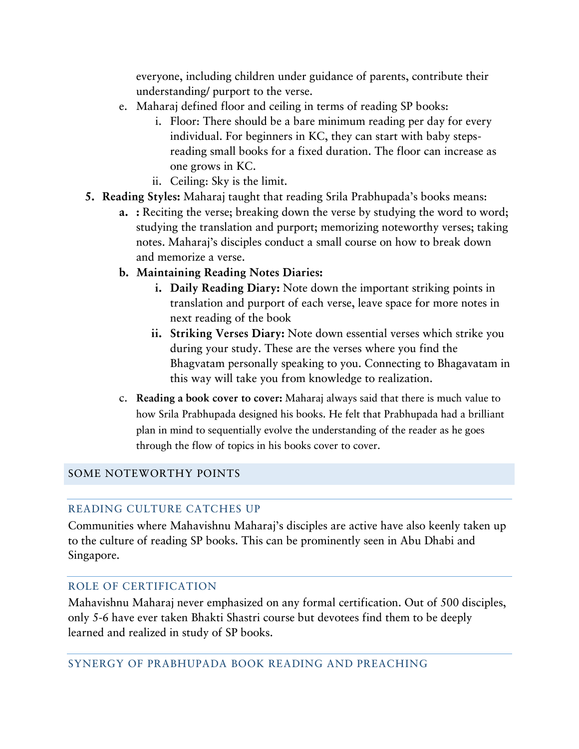everyone, including children under guidance of parents, contribute their understanding/ purport to the verse.

- e. Maharaj defined floor and ceiling in terms of reading SP books:
	- i. Floor: There should be a bare minimum reading per day for every individual. For beginners in KC, they can start with baby stepsreading small books for a fixed duration. The floor can increase as one grows in KC.
	- ii. Ceiling: Sky is the limit.
- **5. Reading Styles:** Maharaj taught that reading Srila Prabhupada's books means:
	- **a. :** Reciting the verse; breaking down the verse by studying the word to word; studying the translation and purport; memorizing noteworthy verses; taking notes. Maharaj's disciples conduct a small course on how to break down and memorize a verse.
	- **b. Maintaining Reading Notes Diaries:**
		- **i. Daily Reading Diary:** Note down the important striking points in translation and purport of each verse, leave space for more notes in next reading of the book
		- **ii. Striking Verses Diary:** Note down essential verses which strike you during your study. These are the verses where you find the Bhagvatam personally speaking to you. Connecting to Bhagavatam in this way will take you from knowledge to realization.
	- c. **Reading a book cover to cover:** Maharaj always said that there is much value to how Srila Prabhupada designed his books. He felt that Prabhupada had a brilliant plan in mind to sequentially evolve the understanding of the reader as he goes through the flow of topics in his books cover to cover.

# <span id="page-14-1"></span><span id="page-14-0"></span>SOME NOTEWORTHY POINTS

# READING CULTURE CATCHES UP

Communities where Mahavishnu Maharaj's disciples are active have also keenly taken up to the culture of reading SP books. This can be prominently seen in Abu Dhabi and Singapore.

# <span id="page-14-2"></span>ROLE OF CERTIFICATION

<span id="page-14-3"></span>Mahavishnu Maharaj never emphasized on any formal certification. Out of 500 disciples, only 5-6 have ever taken Bhakti Shastri course but devotees find them to be deeply learned and realized in study of SP books.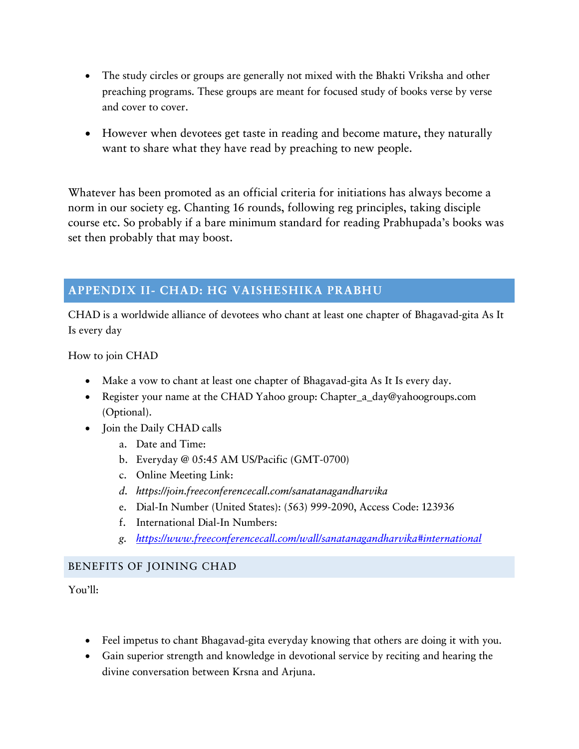- The study circles or groups are generally not mixed with the Bhakti Vriksha and other preaching programs. These groups are meant for focused study of books verse by verse and cover to cover.
- However when devotees get taste in reading and become mature, they naturally want to share what they have read by preaching to new people.

Whatever has been promoted as an official criteria for initiations has always become a norm in our society eg. Chanting 16 rounds, following reg principles, taking disciple course etc. So probably if a bare minimum standard for reading Prabhupada's books was set then probably that may boost.

# <span id="page-15-0"></span>**APPENDIX II- CHAD: HG VAISHESHIKA PRABHU**

CHAD is a worldwide alliance of devotees who chant at least one chapter of Bhagavad-gita As It Is every day

How to join CHAD

- Make a vow to chant at least one chapter of Bhagavad-gita As It Is every day.
- Register your name at the CHAD Yahoo group: Chapter a day@yahoogroups.com (Optional).
- Join the Daily CHAD calls
	- a. Date and Time:
	- b. Everyday @ 05:45 AM US/Pacific (GMT-0700)
	- c. Online Meeting Link:
	- *d. https://join.freeconferencecall.com/sanatanagandharvika*
	- e. Dial-In Number (United States): (563) 999-2090, Access Code: 123936
	- f. International Dial-In Numbers:
	- *g. <https://www.freeconferencecall.com/wall/sanatanagandharvika#international>*

# <span id="page-15-1"></span>BENEFITS OF JOINING CHAD

You'll:

- Feel impetus to chant Bhagavad-gita everyday knowing that others are doing it with you.
- Gain superior strength and knowledge in devotional service by reciting and hearing the divine conversation between Krsna and Arjuna.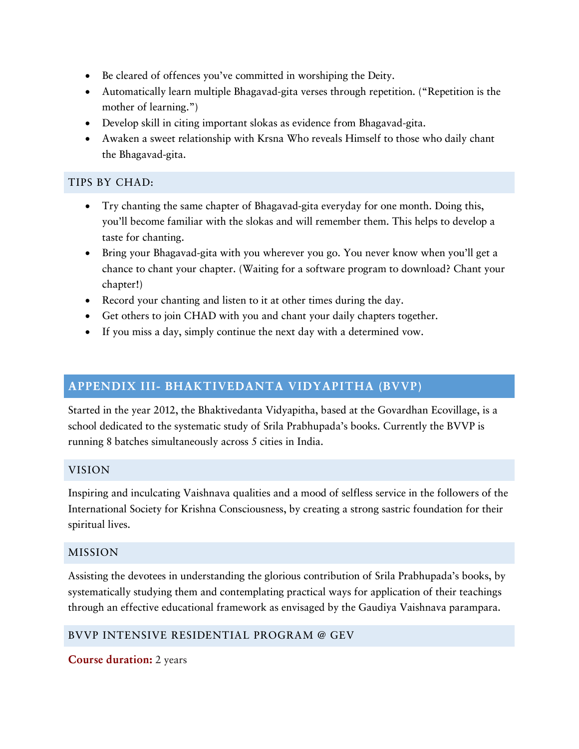- Be cleared of offences you've committed in worshiping the Deity.
- Automatically learn multiple Bhagavad-gita verses through repetition. ("Repetition is the mother of learning.")
- Develop skill in citing important slokas as evidence from Bhagavad-gita.
- Awaken a sweet relationship with Krsna Who reveals Himself to those who daily chant the Bhagavad-gita.

# <span id="page-16-0"></span>TIPS BY CHAD:

- Try chanting the same chapter of Bhagavad-gita everyday for one month. Doing this, you'll become familiar with the slokas and will remember them. This helps to develop a taste for chanting.
- Bring your Bhagavad-gita with you wherever you go. You never know when you'll get a chance to chant your chapter. (Waiting for a software program to download? Chant your chapter!)
- Record your chanting and listen to it at other times during the day.
- Get others to join CHAD with you and chant your daily chapters together.
- If you miss a day, simply continue the next day with a determined vow.

# <span id="page-16-1"></span>**APPENDIX III- BHAKTIVEDANTA VIDYAPITHA (BVVP)**

Started in the year 2012, the Bhaktivedanta Vidyapitha, based at the Govardhan Ecovillage, is a school dedicated to the systematic study of Srila Prabhupada's books. Currently the BVVP is running 8 batches simultaneously across 5 cities in India.

# <span id="page-16-2"></span>VISION

Inspiring and inculcating Vaishnava qualities and a mood of selfless service in the followers of the International Society for Krishna Consciousness, by creating a strong sastric foundation for their spiritual lives.

# <span id="page-16-3"></span>MISSION

Assisting the devotees in understanding the glorious contribution of Srila Prabhupada's books, by systematically studying them and contemplating practical ways for application of their teachings through an effective educational framework as envisaged by the Gaudiya Vaishnava parampara.

# <span id="page-16-4"></span>BVVP INTENSIVE RESIDENTIAL PROGRAM @ GEV

**Course duration:** 2 years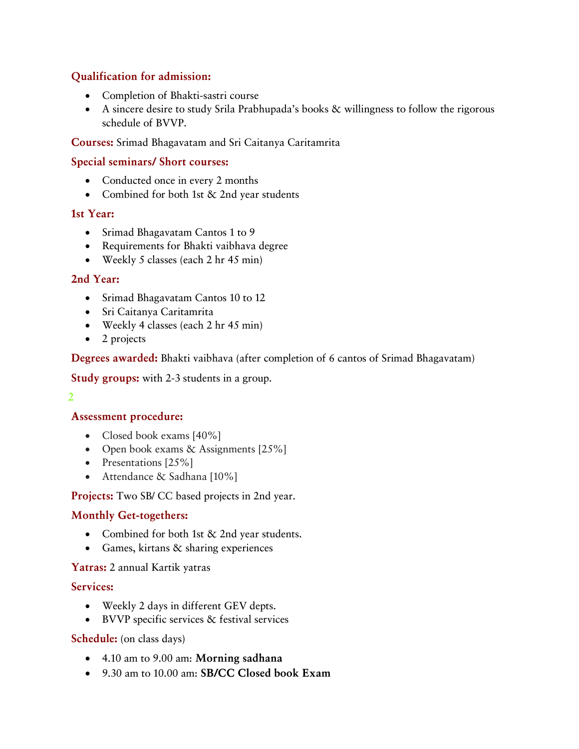# **Qualification for admission:**

- Completion of Bhakti-sastri course
- A sincere desire to study Srila Prabhupada's books & willingness to follow the rigorous schedule of BVVP.

### **Courses:** Srimad Bhagavatam and Sri Caitanya Caritamrita

### **Special seminars/ Short courses:**

- Conducted once in every 2 months
- Combined for both 1st & 2nd year students

### **1st Year:**

- Srimad Bhagavatam Cantos 1 to 9
- Requirements for Bhakti vaibhava degree
- Weekly 5 classes (each 2 hr 45 min)

### **2nd Year:**

- Srimad Bhagavatam Cantos 10 to 12
- Sri Caitanya Caritamrita
- Weekly 4 classes (each 2 hr 45 min)
- 2 projects

#### **Degrees awarded:** Bhakti vaibhava (after completion of 6 cantos of Srimad Bhagavatam)

**Study groups:** with 2-3 students in a group.

### 2

# **Assessment procedure:**

- Closed book exams [40%]
- Open book exams & Assignments [25%]
- Presentations [25%]
- Attendance & Sadhana [10%]

#### **Projects:** Two SB/ CC based projects in 2nd year.

# **Monthly Get-togethers:**

- Combined for both 1st & 2nd year students.
- Games, kirtans & sharing experiences

#### **Yatras:** 2 annual Kartik yatras

#### **Services:**

- Weekly 2 days in different GEV depts.
- BVVP specific services & festival services

#### **Schedule:** (on class days)

- 4.10 am to 9.00 am: **Morning sadhana**
- 9.30 am to 10.00 am: **SB/CC Closed book Exam**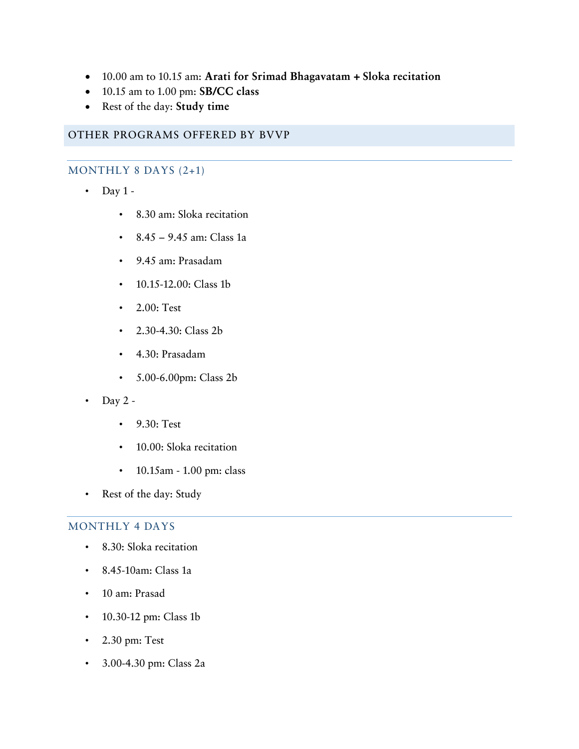- 10.00 am to 10.15 am: **Arati for Srimad Bhagavatam + Sloka recitation**
- 10.15 am to 1.00 pm: **SB/CC class**
- Rest of the day: **Study time**

# <span id="page-18-1"></span><span id="page-18-0"></span>OTHER PROGRAMS OFFERED BY BVVP

# MONTHLY 8 DAYS (2+1)

- Day 1
	- 8.30 am: Sloka recitation
	- 8.45 9.45 am: Class 1a
	- 9.45 am: Prasadam
	- 10.15-12.00: Class 1b
	- 2.00: Test
	- 2.30-4.30: Class 2b
	- 4.30: Prasadam
	- 5.00-6.00pm: Class 2b
- Day  $2 -$ 
	- 9.30: Test
	- 10.00: Sloka recitation
	- 10.15am 1.00 pm: class
- Rest of the day: Study

# <span id="page-18-2"></span>MONTHLY 4 DAYS

- 8.30: Sloka recitation
- 8.45-10am: Class 1a
- 10 am: Prasad
- 10.30-12 pm: Class 1b
- $\cdot$  2.30 pm: Test
- 3.00-4.30 pm: Class 2a